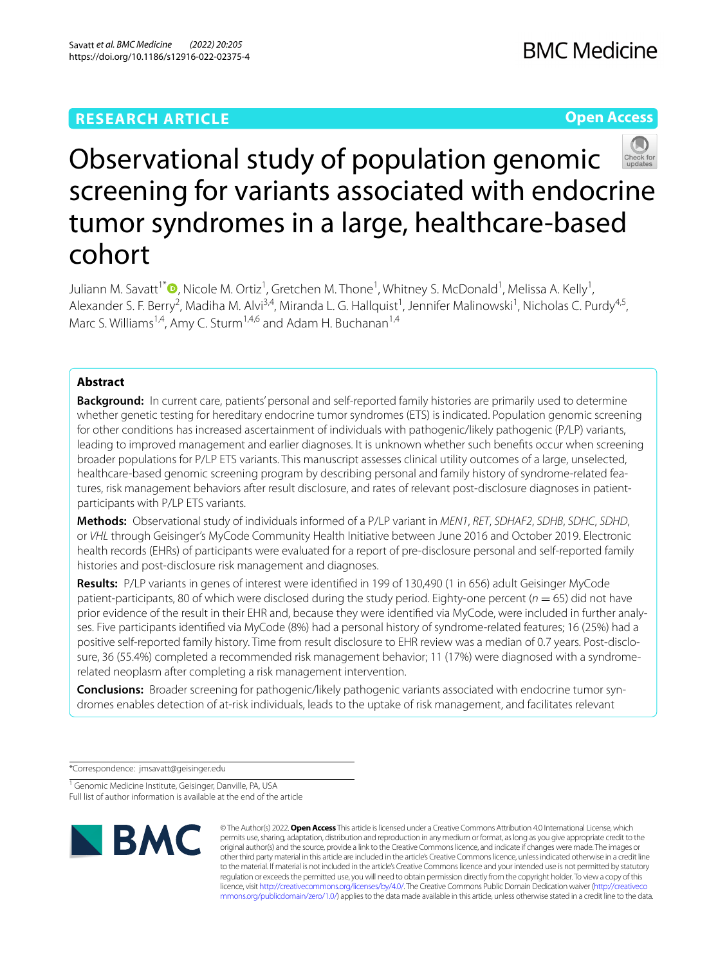# **RESEARCH ARTICLE**

**Open Access**



# Observational study of population genomic screening for variants associated with endocrine tumor syndromes in a large, healthcare-based cohort

Juliann M. Savatt<sup>1\*</sup>  $\bullet$ [,](http://orcid.org/0000-0001-6444-1962) Nicole M. Ortiz<sup>1</sup>, Gretchen M. Thone<sup>1</sup>, Whitney S. McDonald<sup>1</sup>, Melissa A. Kelly<sup>1</sup>, Alexander S. F. Berry<sup>2</sup>, Madiha M. Alvi<sup>3,4</sup>, Miranda L. G. Hallquist<sup>1</sup>, Jennifer Malinowski<sup>1</sup>, Nicholas C. Purdy<sup>4,5</sup>, Marc S. Williams<sup>1,4</sup>, Amy C. Sturm<sup>1,4,6</sup> and Adam H. Buchanan<sup>1,4</sup>

## **Abstract**

**Background:** In current care, patients' personal and self-reported family histories are primarily used to determine whether genetic testing for hereditary endocrine tumor syndromes (ETS) is indicated. Population genomic screening for other conditions has increased ascertainment of individuals with pathogenic/likely pathogenic (P/LP) variants, leading to improved management and earlier diagnoses. It is unknown whether such benefts occur when screening broader populations for P/LP ETS variants. This manuscript assesses clinical utility outcomes of a large, unselected, healthcare-based genomic screening program by describing personal and family history of syndrome-related features, risk management behaviors after result disclosure, and rates of relevant post-disclosure diagnoses in patientparticipants with P/LP ETS variants.

**Methods:** Observational study of individuals informed of a P/LP variant in *MEN1*, *RET*, *SDHAF2*, *SDHB*, *SDHC*, *SDHD*, or *VHL* through Geisinger's MyCode Community Health Initiative between June 2016 and October 2019. Electronic health records (EHRs) of participants were evaluated for a report of pre-disclosure personal and self-reported family histories and post-disclosure risk management and diagnoses.

**Results:** P/LP variants in genes of interest were identifed in 199 of 130,490 (1 in 656) adult Geisinger MyCode patient-participants, 80 of which were disclosed during the study period. Eighty-one percent (*n* = 65) did not have prior evidence of the result in their EHR and, because they were identifed via MyCode, were included in further analyses. Five participants identifed via MyCode (8%) had a personal history of syndrome-related features; 16 (25%) had a positive self-reported family history. Time from result disclosure to EHR review was a median of 0.7 years. Post-disclosure, 36 (55.4%) completed a recommended risk management behavior; 11 (17%) were diagnosed with a syndromerelated neoplasm after completing a risk management intervention.

**Conclusions:** Broader screening for pathogenic/likely pathogenic variants associated with endocrine tumor syndromes enables detection of at-risk individuals, leads to the uptake of risk management, and facilitates relevant

\*Correspondence: jmsavatt@geisinger.edu

<sup>1</sup> Genomic Medicine Institute, Geisinger, Danville, PA, USA Full list of author information is available at the end of the article



© The Author(s) 2022. **Open Access** This article is licensed under a Creative Commons Attribution 4.0 International License, which permits use, sharing, adaptation, distribution and reproduction in any medium or format, as long as you give appropriate credit to the original author(s) and the source, provide a link to the Creative Commons licence, and indicate if changes were made. The images or other third party material in this article are included in the article's Creative Commons licence, unless indicated otherwise in a credit line to the material. If material is not included in the article's Creative Commons licence and your intended use is not permitted by statutory regulation or exceeds the permitted use, you will need to obtain permission directly from the copyright holder. To view a copy of this licence, visit [http://creativecommons.org/licenses/by/4.0/.](http://creativecommons.org/licenses/by/4.0/) The Creative Commons Public Domain Dedication waiver ([http://creativeco](http://creativecommons.org/publicdomain/zero/1.0/) [mmons.org/publicdomain/zero/1.0/](http://creativecommons.org/publicdomain/zero/1.0/)) applies to the data made available in this article, unless otherwise stated in a credit line to the data.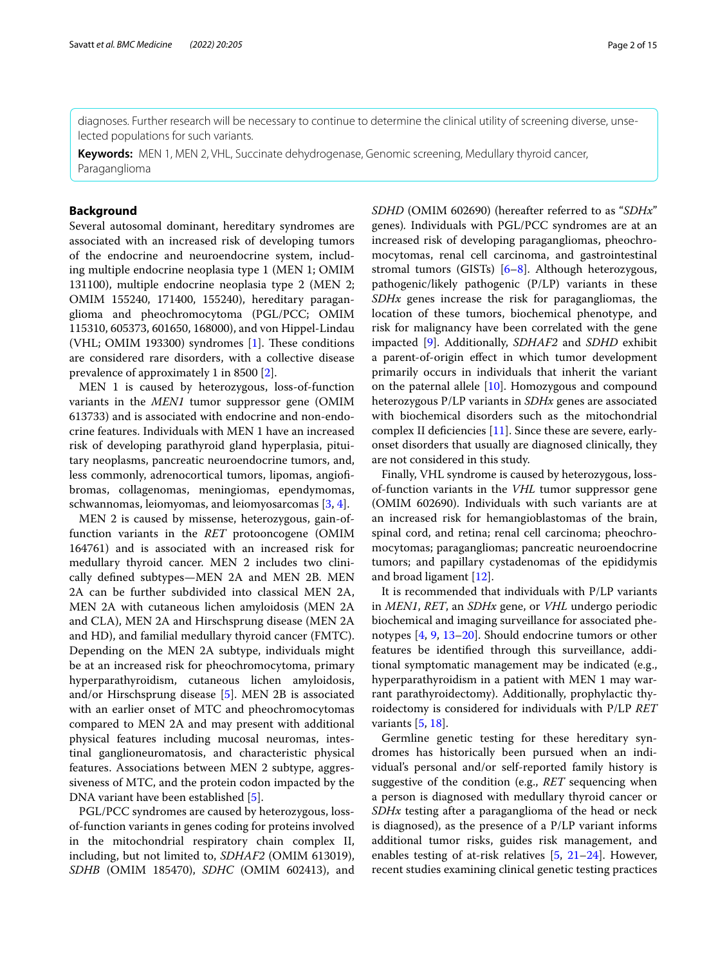diagnoses. Further research will be necessary to continue to determine the clinical utility of screening diverse, unselected populations for such variants.

**Keywords:** MEN 1, MEN 2, VHL, Succinate dehydrogenase, Genomic screening, Medullary thyroid cancer, Paraganglioma

## **Background**

Several autosomal dominant, hereditary syndromes are associated with an increased risk of developing tumors of the endocrine and neuroendocrine system, including multiple endocrine neoplasia type 1 (MEN 1; OMIM 131100), multiple endocrine neoplasia type 2 (MEN 2; OMIM 155240, 171400, 155240), hereditary paraganglioma and pheochromocytoma (PGL/PCC; OMIM 115310, 605373, 601650, 168000), and von Hippel-Lindau (VHL; OMIM 193300) syndromes  $[1]$  $[1]$ . These conditions are considered rare disorders, with a collective disease prevalence of approximately 1 in 8500 [[2\]](#page-13-1).

MEN 1 is caused by heterozygous, loss-of-function variants in the *MEN1* tumor suppressor gene (OMIM 613733) and is associated with endocrine and non-endocrine features. Individuals with MEN 1 have an increased risk of developing parathyroid gland hyperplasia, pituitary neoplasms, pancreatic neuroendocrine tumors, and, less commonly, adrenocortical tumors, lipomas, angiofbromas, collagenomas, meningiomas, ependymomas, schwannomas, leiomyomas, and leiomyosarcomas [[3,](#page-13-2) [4](#page-13-3)].

MEN 2 is caused by missense, heterozygous, gain-offunction variants in the *RET* protooncogene (OMIM 164761) and is associated with an increased risk for medullary thyroid cancer. MEN 2 includes two clinically defned subtypes—MEN 2A and MEN 2B. MEN 2A can be further subdivided into classical MEN 2A, MEN 2A with cutaneous lichen amyloidosis (MEN 2A and CLA), MEN 2A and Hirschsprung disease (MEN 2A and HD), and familial medullary thyroid cancer (FMTC). Depending on the MEN 2A subtype, individuals might be at an increased risk for pheochromocytoma, primary hyperparathyroidism, cutaneous lichen amyloidosis, and/or Hirschsprung disease [[5\]](#page-13-4). MEN 2B is associated with an earlier onset of MTC and pheochromocytomas compared to MEN 2A and may present with additional physical features including mucosal neuromas, intestinal ganglioneuromatosis, and characteristic physical features. Associations between MEN 2 subtype, aggressiveness of MTC, and the protein codon impacted by the DNA variant have been established [[5\]](#page-13-4).

PGL/PCC syndromes are caused by heterozygous, lossof-function variants in genes coding for proteins involved in the mitochondrial respiratory chain complex II, including, but not limited to, *SDHAF2* (OMIM 613019), *SDHB* (OMIM 185470), *SDHC* (OMIM 602413), and *SDHD* (OMIM 602690) (hereafter referred to as "*SDHx*" genes)*.* Individuals with PGL/PCC syndromes are at an increased risk of developing paragangliomas, pheochromocytomas, renal cell carcinoma, and gastrointestinal stromal tumors (GISTs)  $[6-8]$  $[6-8]$ . Although heterozygous, pathogenic/likely pathogenic (P/LP) variants in these *SDHx* genes increase the risk for paragangliomas, the location of these tumors, biochemical phenotype, and risk for malignancy have been correlated with the gene impacted [[9\]](#page-13-7). Additionally, *SDHAF2* and *SDHD* exhibit a parent-of-origin efect in which tumor development primarily occurs in individuals that inherit the variant on the paternal allele [[10\]](#page-14-0). Homozygous and compound heterozygous P/LP variants in *SDHx* genes are associated with biochemical disorders such as the mitochondrial complex II deficiencies  $[11]$ . Since these are severe, earlyonset disorders that usually are diagnosed clinically, they are not considered in this study.

Finally, VHL syndrome is caused by heterozygous, lossof-function variants in the *VHL* tumor suppressor gene (OMIM 602690). Individuals with such variants are at an increased risk for hemangioblastomas of the brain, spinal cord, and retina; renal cell carcinoma; pheochromocytomas; paragangliomas; pancreatic neuroendocrine tumors; and papillary cystadenomas of the epididymis and broad ligament [[12](#page-14-2)].

It is recommended that individuals with P/LP variants in *MEN1*, *RET*, an *SDHx* gene, or *VHL* undergo periodic biochemical and imaging surveillance for associated phenotypes [[4,](#page-13-3) [9,](#page-13-7) [13–](#page-14-3)[20\]](#page-14-4). Should endocrine tumors or other features be identifed through this surveillance, additional symptomatic management may be indicated (e.g., hyperparathyroidism in a patient with MEN 1 may warrant parathyroidectomy). Additionally, prophylactic thyroidectomy is considered for individuals with P/LP *RET* variants  $[5, 18]$  $[5, 18]$  $[5, 18]$  $[5, 18]$ .

Germline genetic testing for these hereditary syndromes has historically been pursued when an individual's personal and/or self-reported family history is suggestive of the condition (e.g., *RET* sequencing when a person is diagnosed with medullary thyroid cancer or *SDHx* testing after a paraganglioma of the head or neck is diagnosed), as the presence of a P/LP variant informs additional tumor risks, guides risk management, and enables testing of at-risk relatives  $[5, 21-24]$  $[5, 21-24]$  $[5, 21-24]$  $[5, 21-24]$ . However, recent studies examining clinical genetic testing practices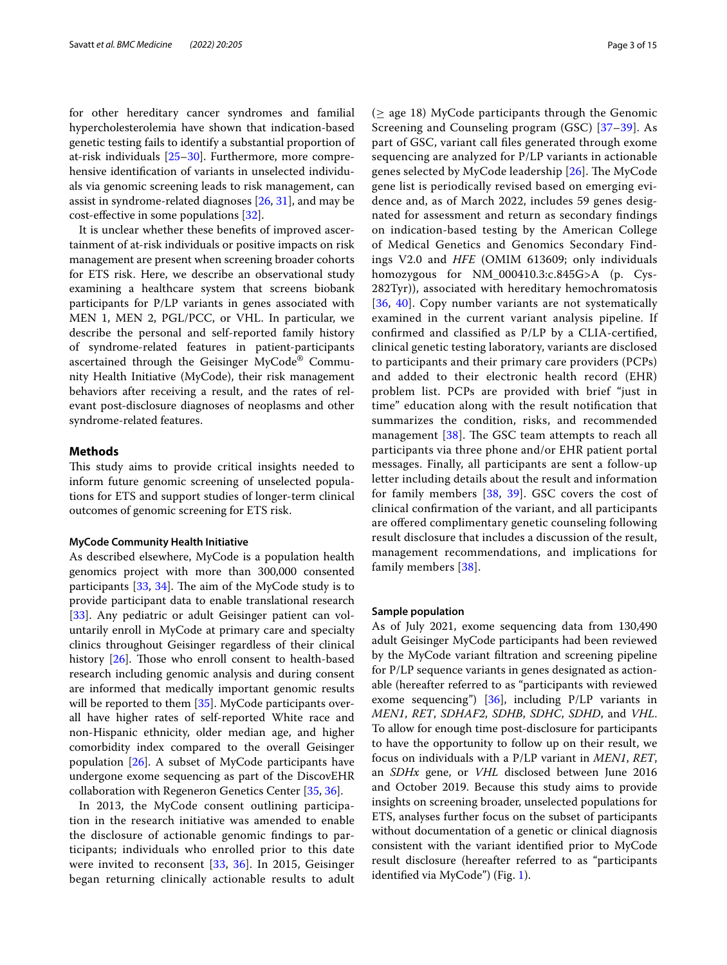for other hereditary cancer syndromes and familial hypercholesterolemia have shown that indication-based genetic testing fails to identify a substantial proportion of at-risk individuals [[25–](#page-14-8)[30\]](#page-14-9). Furthermore, more comprehensive identifcation of variants in unselected individuals via genomic screening leads to risk management, can assist in syndrome-related diagnoses [[26,](#page-14-10) [31](#page-14-11)], and may be cost-efective in some populations [\[32](#page-14-12)].

It is unclear whether these benefts of improved ascertainment of at-risk individuals or positive impacts on risk management are present when screening broader cohorts for ETS risk. Here, we describe an observational study examining a healthcare system that screens biobank participants for P/LP variants in genes associated with MEN 1, MEN 2, PGL/PCC, or VHL. In particular, we describe the personal and self-reported family history of syndrome-related features in patient-participants ascertained through the Geisinger MyCode® Community Health Initiative (MyCode), their risk management behaviors after receiving a result, and the rates of relevant post-disclosure diagnoses of neoplasms and other syndrome-related features.

## **Methods**

This study aims to provide critical insights needed to inform future genomic screening of unselected populations for ETS and support studies of longer-term clinical outcomes of genomic screening for ETS risk.

## **MyCode Community Health Initiative**

As described elsewhere, MyCode is a population health genomics project with more than 300,000 consented participants  $[33, 34]$  $[33, 34]$  $[33, 34]$  $[33, 34]$ . The aim of the MyCode study is to provide participant data to enable translational research [[33\]](#page-14-13). Any pediatric or adult Geisinger patient can voluntarily enroll in MyCode at primary care and specialty clinics throughout Geisinger regardless of their clinical history  $[26]$  $[26]$  $[26]$ . Those who enroll consent to health-based research including genomic analysis and during consent are informed that medically important genomic results will be reported to them [\[35](#page-14-15)]. MyCode participants overall have higher rates of self-reported White race and non-Hispanic ethnicity, older median age, and higher comorbidity index compared to the overall Geisinger population [\[26](#page-14-10)]. A subset of MyCode participants have undergone exome sequencing as part of the DiscovEHR collaboration with Regeneron Genetics Center [[35,](#page-14-15) [36\]](#page-14-16).

In 2013, the MyCode consent outlining participation in the research initiative was amended to enable the disclosure of actionable genomic fndings to participants; individuals who enrolled prior to this date were invited to reconsent [[33,](#page-14-13) [36](#page-14-16)]. In 2015, Geisinger began returning clinically actionable results to adult  $(\geq$  age 18) MyCode participants through the Genomic Screening and Counseling program (GSC) [\[37](#page-14-17)[–39\]](#page-14-18). As part of GSC, variant call fles generated through exome sequencing are analyzed for P/LP variants in actionable genes selected by MyCode leadership [[26\]](#page-14-10). The MyCode gene list is periodically revised based on emerging evidence and, as of March 2022, includes 59 genes designated for assessment and return as secondary fndings on indication-based testing by the American College of Medical Genetics and Genomics Secondary Findings V2.0 and *HFE* (OMIM 613609; only individuals homozygous for NM\_000410.3:c.845G>A (p. Cys-282Tyr)), associated with hereditary hemochromatosis [[36](#page-14-16), [40\]](#page-14-19). Copy number variants are not systematically examined in the current variant analysis pipeline. If confrmed and classifed as P/LP by a CLIA-certifed, clinical genetic testing laboratory, variants are disclosed to participants and their primary care providers (PCPs) and added to their electronic health record (EHR) problem list. PCPs are provided with brief "just in time" education along with the result notifcation that summarizes the condition, risks, and recommended management  $[38]$  $[38]$ . The GSC team attempts to reach all participants via three phone and/or EHR patient portal messages. Finally, all participants are sent a follow-up letter including details about the result and information for family members [[38,](#page-14-20) [39\]](#page-14-18). GSC covers the cost of clinical confrmation of the variant, and all participants are ofered complimentary genetic counseling following result disclosure that includes a discussion of the result, management recommendations, and implications for family members [\[38](#page-14-20)].

## **Sample population**

As of July 2021, exome sequencing data from 130,490 adult Geisinger MyCode participants had been reviewed by the MyCode variant fltration and screening pipeline for P/LP sequence variants in genes designated as actionable (hereafter referred to as "participants with reviewed exome sequencing") [[36\]](#page-14-16), including  $P/LP$  variants in *MEN1*, *RET*, *SDHAF2*, *SDHB*, *SDHC*, *SDHD*, and *VHL*. To allow for enough time post-disclosure for participants to have the opportunity to follow up on their result, we focus on individuals with a P/LP variant in *MEN1*, *RET*, an *SDHx* gene, or *VHL* disclosed between June 2016 and October 2019. Because this study aims to provide insights on screening broader, unselected populations for ETS, analyses further focus on the subset of participants without documentation of a genetic or clinical diagnosis consistent with the variant identifed prior to MyCode result disclosure (hereafter referred to as "participants identifed via MyCode") (Fig. [1\)](#page-3-0).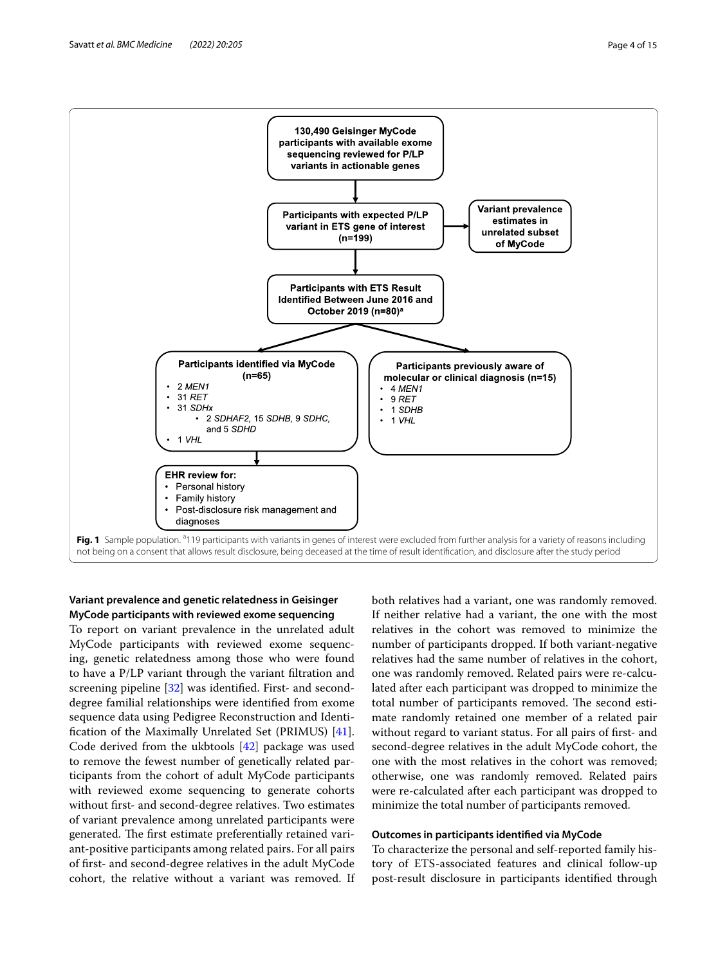

## <span id="page-3-0"></span>**Variant prevalence and genetic relatedness in Geisinger MyCode participants with reviewed exome sequencing**

To report on variant prevalence in the unrelated adult MyCode participants with reviewed exome sequencing, genetic relatedness among those who were found to have a P/LP variant through the variant fltration and screening pipeline [[32](#page-14-12)] was identifed. First- and seconddegree familial relationships were identifed from exome sequence data using Pedigree Reconstruction and Identifcation of the Maximally Unrelated Set (PRIMUS) [\[41](#page-14-21)]. Code derived from the ukbtools [\[42](#page-14-22)] package was used to remove the fewest number of genetically related participants from the cohort of adult MyCode participants with reviewed exome sequencing to generate cohorts without frst- and second-degree relatives. Two estimates of variant prevalence among unrelated participants were generated. The first estimate preferentially retained variant-positive participants among related pairs. For all pairs of frst- and second-degree relatives in the adult MyCode cohort, the relative without a variant was removed. If

both relatives had a variant, one was randomly removed. If neither relative had a variant, the one with the most relatives in the cohort was removed to minimize the number of participants dropped. If both variant-negative relatives had the same number of relatives in the cohort, one was randomly removed. Related pairs were re-calculated after each participant was dropped to minimize the total number of participants removed. The second estimate randomly retained one member of a related pair without regard to variant status. For all pairs of first- and second-degree relatives in the adult MyCode cohort, the one with the most relatives in the cohort was removed; otherwise, one was randomly removed. Related pairs were re-calculated after each participant was dropped to minimize the total number of participants removed.

## **Outcomes in participants identifed via MyCode**

To characterize the personal and self-reported family history of ETS-associated features and clinical follow-up post-result disclosure in participants identifed through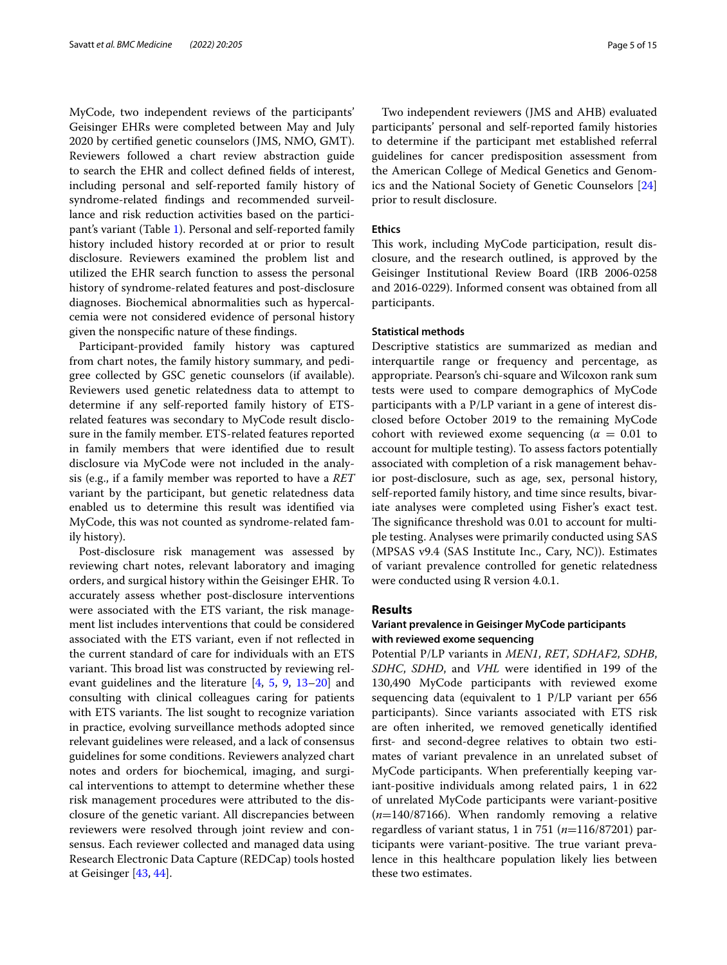MyCode, two independent reviews of the participants' Geisinger EHRs were completed between May and July 2020 by certifed genetic counselors (JMS, NMO, GMT). Reviewers followed a chart review abstraction guide to search the EHR and collect defned felds of interest, including personal and self-reported family history of syndrome-related fndings and recommended surveillance and risk reduction activities based on the participant's variant (Table [1\)](#page-5-0). Personal and self-reported family history included history recorded at or prior to result disclosure. Reviewers examined the problem list and utilized the EHR search function to assess the personal history of syndrome-related features and post-disclosure diagnoses. Biochemical abnormalities such as hypercalcemia were not considered evidence of personal history given the nonspecifc nature of these fndings.

Participant-provided family history was captured from chart notes, the family history summary, and pedigree collected by GSC genetic counselors (if available). Reviewers used genetic relatedness data to attempt to determine if any self-reported family history of ETSrelated features was secondary to MyCode result disclosure in the family member. ETS-related features reported in family members that were identifed due to result disclosure via MyCode were not included in the analysis (e.g., if a family member was reported to have a *RET* variant by the participant, but genetic relatedness data enabled us to determine this result was identifed via MyCode, this was not counted as syndrome-related family history).

Post-disclosure risk management was assessed by reviewing chart notes, relevant laboratory and imaging orders, and surgical history within the Geisinger EHR. To accurately assess whether post-disclosure interventions were associated with the ETS variant, the risk management list includes interventions that could be considered associated with the ETS variant, even if not refected in the current standard of care for individuals with an ETS variant. This broad list was constructed by reviewing relevant guidelines and the literature [\[4](#page-13-3), [5](#page-13-4), [9](#page-13-7), [13](#page-14-3)[–20](#page-14-4)] and consulting with clinical colleagues caring for patients with ETS variants. The list sought to recognize variation in practice, evolving surveillance methods adopted since relevant guidelines were released, and a lack of consensus guidelines for some conditions. Reviewers analyzed chart notes and orders for biochemical, imaging, and surgical interventions to attempt to determine whether these risk management procedures were attributed to the disclosure of the genetic variant. All discrepancies between reviewers were resolved through joint review and consensus. Each reviewer collected and managed data using Research Electronic Data Capture (REDCap) tools hosted at Geisinger [\[43](#page-14-23), [44\]](#page-14-24).

Two independent reviewers (JMS and AHB) evaluated participants' personal and self-reported family histories to determine if the participant met established referral guidelines for cancer predisposition assessment from the American College of Medical Genetics and Genomics and the National Society of Genetic Counselors [[24](#page-14-7)] prior to result disclosure.

#### **Ethics**

This work, including MyCode participation, result disclosure, and the research outlined, is approved by the Geisinger Institutional Review Board (IRB 2006-0258 and 2016-0229). Informed consent was obtained from all participants.

## **Statistical methods**

Descriptive statistics are summarized as median and interquartile range or frequency and percentage, as appropriate. Pearson's chi-square and Wilcoxon rank sum tests were used to compare demographics of MyCode participants with a P/LP variant in a gene of interest disclosed before October 2019 to the remaining MyCode cohort with reviewed exome sequencing ( $\alpha = 0.01$  to account for multiple testing). To assess factors potentially associated with completion of a risk management behavior post-disclosure, such as age, sex, personal history, self-reported family history, and time since results, bivariate analyses were completed using Fisher's exact test. The significance threshold was 0.01 to account for multiple testing. Analyses were primarily conducted using SAS (MPSAS v9.4 (SAS Institute Inc., Cary, NC)). Estimates of variant prevalence controlled for genetic relatedness were conducted using R version 4.0.1.

## **Results**

## **Variant prevalence in Geisinger MyCode participants with reviewed exome sequencing**

Potential P/LP variants in *MEN1*, *RET*, *SDHAF2*, *SDHB*, *SDHC*, *SDHD*, and *VHL* were identifed in 199 of the 130,490 MyCode participants with reviewed exome sequencing data (equivalent to 1 P/LP variant per 656 participants). Since variants associated with ETS risk are often inherited, we removed genetically identifed frst- and second-degree relatives to obtain two estimates of variant prevalence in an unrelated subset of MyCode participants. When preferentially keeping variant-positive individuals among related pairs, 1 in 622 of unrelated MyCode participants were variant-positive (*n*=140/87166). When randomly removing a relative regardless of variant status, 1 in 751 (*n*=116/87201) participants were variant-positive. The true variant prevalence in this healthcare population likely lies between these two estimates.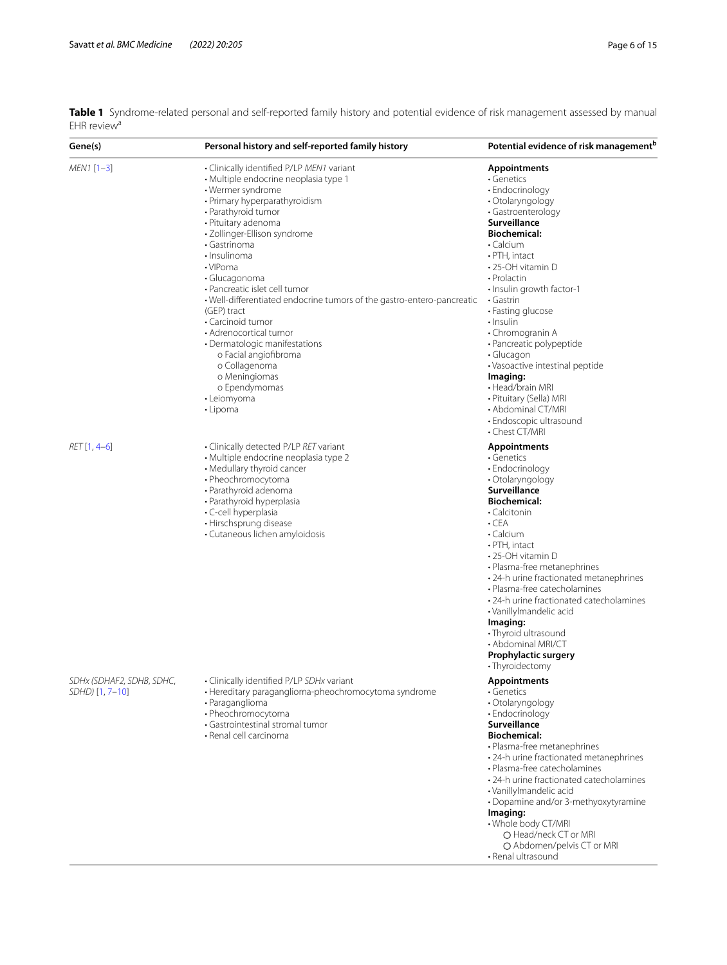| Gene(s)                                      | Personal history and self-reported family history                                                                                                                                                                                                                                                                                                                                                                                                                                                                                                                                                          | Potential evidence of risk management <sup>b</sup>                                                                                                                                                                                                                                                                                                                                                                                                                                                       |
|----------------------------------------------|------------------------------------------------------------------------------------------------------------------------------------------------------------------------------------------------------------------------------------------------------------------------------------------------------------------------------------------------------------------------------------------------------------------------------------------------------------------------------------------------------------------------------------------------------------------------------------------------------------|----------------------------------------------------------------------------------------------------------------------------------------------------------------------------------------------------------------------------------------------------------------------------------------------------------------------------------------------------------------------------------------------------------------------------------------------------------------------------------------------------------|
| MEN1 [1-3]                                   | • Clinically identified P/LP MEN1 variant<br>· Multiple endocrine neoplasia type 1<br>• Wermer syndrome<br>• Primary hyperparathyroidism<br>• Parathyroid tumor<br>· Pituitary adenoma<br>· Zollinger-Ellison syndrome<br>• Gastrinoma<br>· Insulinoma<br>• VIPoma<br>• Glucagonoma<br>• Pancreatic islet cell tumor<br>. Well-differentiated endocrine tumors of the gastro-entero-pancreatic<br>(GEP) tract<br>• Carcinoid tumor<br>• Adrenocortical tumor<br>• Dermatologic manifestations<br>o Facial angiofibroma<br>o Collagenoma<br>o Meningiomas<br>o Ependymomas<br>• Leiomyoma<br>$\cdot$ Lipoma | <b>Appointments</b><br>· Genetics<br>• Endocrinology<br>· Otolaryngology<br>· Gastroenterology<br>Surveillance<br><b>Biochemical:</b><br>• Calcium<br>· PTH, intact<br>•25-OH vitamin D<br>• Prolactin<br>· Insulin growth factor-1<br>• Gastrin<br>• Fasting glucose<br>• Insulin<br>• Chromogranin A<br>· Pancreatic polypeptide<br>$\cdot$ Glucagon<br>• Vasoactive intestinal peptide<br>Imaging:<br>• Head/brain MRI<br>· Pituitary (Sella) MRI<br>• Abdominal CT/MRI<br>• Endoscopic ultrasound    |
| RET [1, 4-6]                                 | · Clinically detected P/LP RET variant<br>· Multiple endocrine neoplasia type 2<br>• Medullary thyroid cancer<br>• Pheochromocytoma<br>• Parathyroid adenoma<br>• Parathyroid hyperplasia<br>· C-cell hyperplasia<br>• Hirschsprung disease<br>• Cutaneous lichen amyloidosis                                                                                                                                                                                                                                                                                                                              | • Chest CT/MRI<br><b>Appointments</b><br>• Genetics<br>• Endocrinology<br>• Otolaryngology<br>Surveillance<br><b>Biochemical:</b><br>• Calcitonin<br>$\cdot$ CEA<br>· Calcium<br>· PTH, intact<br>•25-OH vitamin D<br>• Plasma-free metanephrines<br>• 24-h urine fractionated metanephrines<br>• Plasma-free catecholamines<br>· 24-h urine fractionated catecholamines<br>· Vanillylmandelic acid<br>Imaging:<br>• Thyroid ultrasound<br>· Abdominal MRI/CT<br>Prophylactic surgery<br>• Thyroidectomy |
| SDHx (SDHAF2, SDHB, SDHC,<br>SDHD) [1, 7-10] | • Clinically identified P/LP SDHx variant<br>· Hereditary paraganglioma-pheochromocytoma syndrome<br>· Paraganglioma<br>· Pheochromocytoma<br>• Gastrointestinal stromal tumor<br>· Renal cell carcinoma                                                                                                                                                                                                                                                                                                                                                                                                   | Appointments<br>• Genetics<br>· Otolaryngology<br>• Endocrinology<br>Surveillance<br><b>Biochemical:</b><br>• Plasma-free metanephrines<br>• 24-h urine fractionated metanephrines<br>• Plasma-free catecholamines<br>• 24-h urine fractionated catecholamines<br>· Vanillylmandelic acid<br>• Dopamine and/or 3-methyoxytyramine<br>Imaging:<br>· Whole body CT/MRI<br>O Head/neck CT or MRI<br>O Abdomen/pelvis CT or MRI<br>• Renal ultrasound                                                        |

<span id="page-5-0"></span>**Table 1** Syndrome-related personal and self-reported family history and potential evidence of risk management assessed by manual  $EHR$  review<sup>a</sup>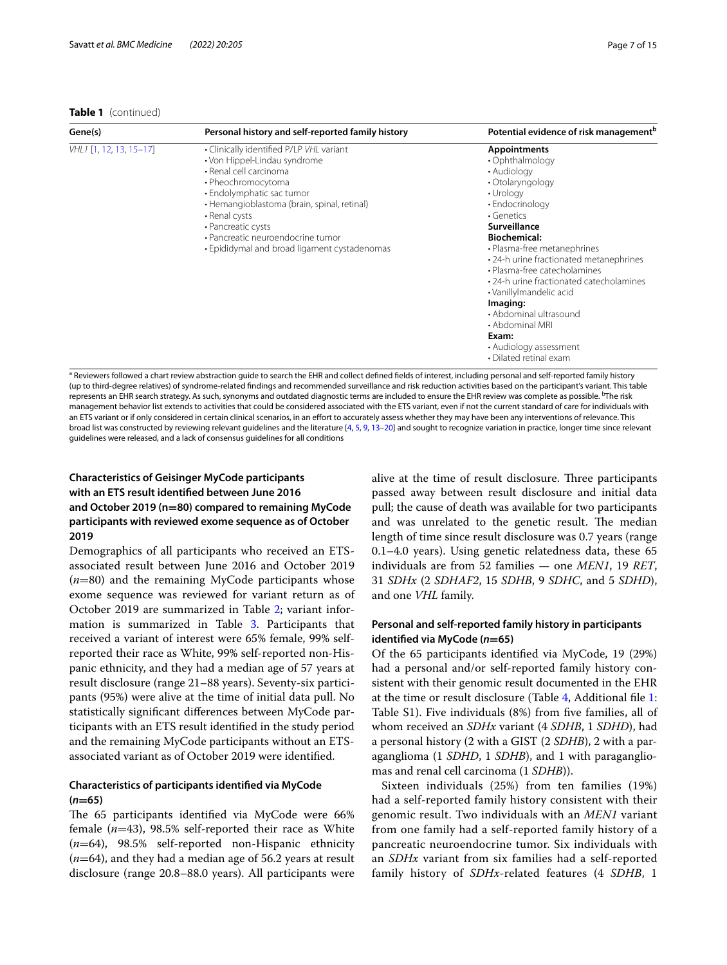#### **Table 1** (continued)

| Gene(s)                 | Personal history and self-reported family history                                                                                                                                                                                                                                                                                | Potential evidence of risk management <sup>b</sup>                                                                                                                                                                                                                                                                                                                                                                                                                    |
|-------------------------|----------------------------------------------------------------------------------------------------------------------------------------------------------------------------------------------------------------------------------------------------------------------------------------------------------------------------------|-----------------------------------------------------------------------------------------------------------------------------------------------------------------------------------------------------------------------------------------------------------------------------------------------------------------------------------------------------------------------------------------------------------------------------------------------------------------------|
| VHL1 [1, 12, 13, 15-17] | • Clinically identified P/LP VHL variant<br>• Von Hippel-Lindau syndrome<br>• Renal cell carcinoma<br>• Pheochromocytoma<br>· Endolymphatic sac tumor<br>· Hemangioblastoma (brain, spinal, retinal)<br>• Renal cysts<br>• Pancreatic cysts<br>• Pancreatic neuroendocrine tumor<br>• Epididymal and broad ligament cystadenomas | <b>Appointments</b><br>• Ophthalmology<br>• Audiology<br>• Otolaryngology<br>• Urology<br>• Endocrinology<br>• Genetics<br>Surveillance<br><b>Biochemical:</b><br>• Plasma-free metanephrines<br>• 24-h urine fractionated metanephrines<br>• Plasma-free catecholamines<br>• 24-h urine fractionated catecholamines<br>• Vanillylmandelic acid<br>Imaging:<br>• Abdominal ultrasound<br>• Abdominal MRI<br>Exam:<br>• Audiology assessment<br>• Dilated retinal exam |

a Reviewers followed a chart review abstraction guide to search the EHR and collect defned felds of interest, including personal and self-reported family history (up to third-degree relatives) of syndrome-related fndings and recommended surveillance and risk reduction activities based on the participant's variant. This table represents an EHR search strategy. As such, synonyms and outdated diagnostic terms are included to ensure the EHR review was complete as possible. <sup>b</sup>The risk management behavior list extends to activities that could be considered associated with the ETS variant, even if not the current standard of care for individuals with an ETS variant or if only considered in certain clinical scenarios, in an effort to accurately assess whether they may have been any interventions of relevance. This broad list was constructed by reviewing relevant guidelines and the literature  $[4, 5, 9, 13-20]$  $[4, 5, 9, 13-20]$  $[4, 5, 9, 13-20]$  $[4, 5, 9, 13-20]$  $[4, 5, 9, 13-20]$  $[4, 5, 9, 13-20]$  $[4, 5, 9, 13-20]$  $[4, 5, 9, 13-20]$  $[4, 5, 9, 13-20]$  $[4, 5, 9, 13-20]$  $[4, 5, 9, 13-20]$  and sought to recognize variation in practice, longer time since relevant guidelines were released, and a lack of consensus guidelines for all conditions

## **Characteristics of Geisinger MyCode participants with an ETS result identifed between June 2016 and October 2019 (n=80) compared to remaining MyCode participants with reviewed exome sequence as of October 2019**

Demographics of all participants who received an ETSassociated result between June 2016 and October 2019 (*n*=80) and the remaining MyCode participants whose exome sequence was reviewed for variant return as of October 2019 are summarized in Table [2;](#page-7-0) variant information is summarized in Table [3](#page-8-0). Participants that received a variant of interest were 65% female, 99% selfreported their race as White, 99% self-reported non-Hispanic ethnicity, and they had a median age of 57 years at result disclosure (range 21–88 years). Seventy-six participants (95%) were alive at the time of initial data pull. No statistically signifcant diferences between MyCode participants with an ETS result identifed in the study period and the remaining MyCode participants without an ETSassociated variant as of October 2019 were identifed.

## **Characteristics of participants identifed via MyCode (***n***=65)**

The 65 participants identified via MyCode were 66% female (*n*=43), 98.5% self-reported their race as White (*n*=64), 98.5% self-reported non-Hispanic ethnicity (*n*=64), and they had a median age of 56.2 years at result disclosure (range 20.8–88.0 years). All participants were

alive at the time of result disclosure. Three participants passed away between result disclosure and initial data pull; the cause of death was available for two participants and was unrelated to the genetic result. The median length of time since result disclosure was 0.7 years (range 0.1–4.0 years). Using genetic relatedness data, these 65 individuals are from 52 families — one *MEN1*, 19 *RET*, 31 *SDHx* (2 *SDHAF2*, 15 *SDHB*, 9 *SDHC*, and 5 *SDHD*), and one *VHL* family*.*

## **Personal and self-reported family history in participants identifed via MyCode (***n***=65)**

Of the 65 participants identifed via MyCode, 19 (29%) had a personal and/or self-reported family history consistent with their genomic result documented in the EHR at the time or result disclosure (Table [4,](#page-10-0) Additional fle [1](#page-13-9): Table S1). Five individuals (8%) from fve families, all of whom received an *SDHx* variant (4 *SDHB*, 1 *SDHD*), had a personal history (2 with a GIST (2 *SDHB*), 2 with a paraganglioma (1 *SDHD*, 1 *SDHB*), and 1 with paragangliomas and renal cell carcinoma (1 *SDHB*)).

Sixteen individuals (25%) from ten families (19%) had a self-reported family history consistent with their genomic result. Two individuals with an *MEN1* variant from one family had a self-reported family history of a pancreatic neuroendocrine tumor. Six individuals with an *SDHx* variant from six families had a self-reported family history of *SDHx*-related features (4 *SDHB*, 1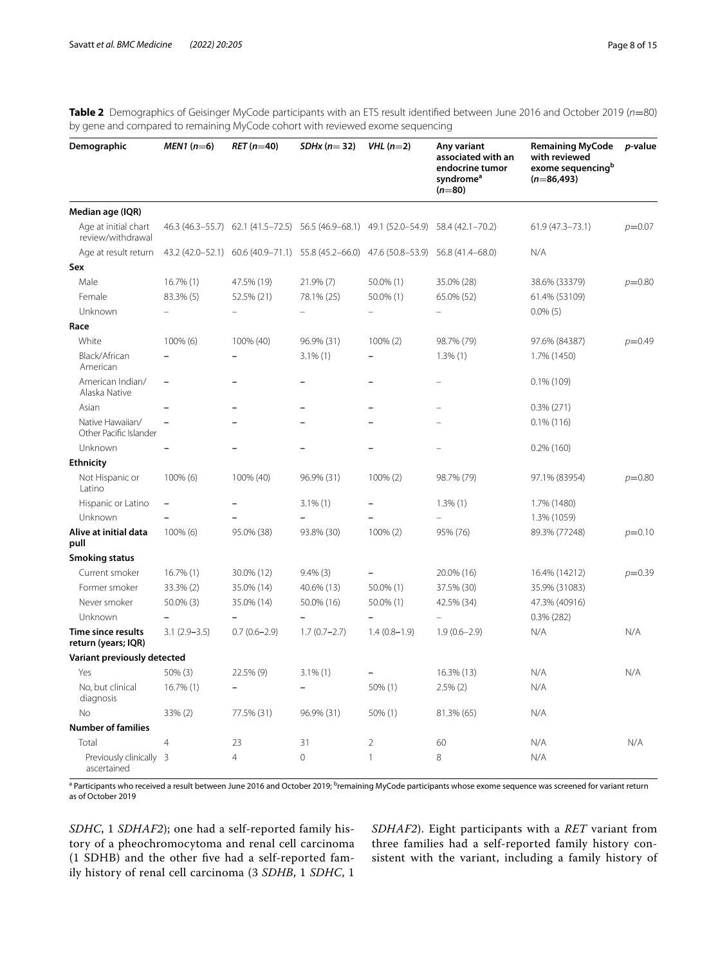<span id="page-7-0"></span>

| Table 2 Demographics of Geisinger MyCode participants with an ETS result identified between June 2016 and October 2019 (n=80) |  |  |
|-------------------------------------------------------------------------------------------------------------------------------|--|--|
| by gene and compared to remaining MyCode cohort with reviewed exome sequencing                                                |  |  |

| Demographic                                | $MEN1(n=6)$              | $RET (n=40)$      | $SDHx (n=32)$                                                       | $VHL$ (n=2)    | Any variant<br>associated with an<br>endocrine tumor<br>syndrome <sup>a</sup><br>$(n=80)$ | <b>Remaining MyCode</b><br>with reviewed<br>exome sequencing <sup>b</sup><br>$(n=86,493)$ | <i>p</i> -value |
|--------------------------------------------|--------------------------|-------------------|---------------------------------------------------------------------|----------------|-------------------------------------------------------------------------------------------|-------------------------------------------------------------------------------------------|-----------------|
| Median age (IQR)                           |                          |                   |                                                                     |                |                                                                                           |                                                                                           |                 |
| Age at initial chart<br>review/withdrawal  | $46.3(46.3-55.7)$        |                   | $62.1$ (41.5-72.5) $56.5$ (46.9-68.1) 49.1 (52.0-54.9)              |                | 58.4 (42.1-70.2)                                                                          | $61.9(47.3 - 73.1)$                                                                       | $p=0.07$        |
| Age at result return                       |                          |                   | 43.2 (42.0-52.1) 60.6 (40.9-71.1) 55.8 (45.2-66.0) 47.6 (50.8-53.9) |                | 56.8 (41.4-68.0)                                                                          | N/A                                                                                       |                 |
| Sex                                        |                          |                   |                                                                     |                |                                                                                           |                                                                                           |                 |
| Male                                       | $16.7\%$ (1)             | 47.5% (19)        | 21.9% (7)                                                           | 50.0% (1)      | 35.0% (28)                                                                                | 38.6% (33379)                                                                             | $p=0.80$        |
| Female                                     | 83.3% (5)                | 52.5% (21)        | 78.1% (25)                                                          | 50.0% (1)      | 65.0% (52)                                                                                | 61.4% (53109)                                                                             |                 |
| Unknown                                    |                          | $\qquad \qquad -$ |                                                                     |                |                                                                                           | $0.0\%$ (5)                                                                               |                 |
| Race                                       |                          |                   |                                                                     |                |                                                                                           |                                                                                           |                 |
| White                                      | 100% (6)                 | 100% (40)         | 96.9% (31)                                                          | 100% (2)       | 98.7% (79)                                                                                | 97.6% (84387)                                                                             | $p=0.49$        |
| Black/African<br>American                  |                          |                   | $3.1\%$ (1)                                                         |                | $1.3\%$ (1)                                                                               | 1.7% (1450)                                                                               |                 |
| American Indian/<br>Alaska Native          |                          |                   |                                                                     |                |                                                                                           | $0.1\%$ (109)                                                                             |                 |
| Asian                                      |                          |                   |                                                                     |                |                                                                                           | $0.3\%$ (271)                                                                             |                 |
| Native Hawaiian/<br>Other Pacific Islander |                          |                   |                                                                     |                |                                                                                           | $0.1\%$ (116)                                                                             |                 |
| Unknown                                    |                          |                   |                                                                     |                |                                                                                           | $0.2\%$ (160)                                                                             |                 |
| <b>Ethnicity</b>                           |                          |                   |                                                                     |                |                                                                                           |                                                                                           |                 |
| Not Hispanic or<br>Latino                  | $100\%$ (6)              | 100% (40)         | 96.9% (31)                                                          | $100\% (2)$    | 98.7% (79)                                                                                | 97.1% (83954)                                                                             | $p=0.80$        |
| Hispanic or Latino                         | $\overline{\phantom{0}}$ |                   | $3.1\%$ (1)                                                         |                | $1.3\%$ (1)                                                                               | 1.7% (1480)                                                                               |                 |
| Unknown                                    |                          |                   |                                                                     |                |                                                                                           | 1.3% (1059)                                                                               |                 |
| Alive at initial data<br>pull              | 100% (6)                 | 95.0% (38)        | 93.8% (30)                                                          | 100% (2)       | 95% (76)                                                                                  | 89.3% (77248)                                                                             | $p=0.10$        |
| <b>Smoking status</b>                      |                          |                   |                                                                     |                |                                                                                           |                                                                                           |                 |
| Current smoker                             | $16.7\%$ (1)             | 30.0% (12)        | $9.4\%$ (3)                                                         |                | 20.0% (16)                                                                                | 16.4% (14212)                                                                             | $p=0.39$        |
| Former smoker                              | 33.3% (2)                | 35.0% (14)        | 40.6% (13)                                                          | 50.0% (1)      | 37.5% (30)                                                                                | 35.9% (31083)                                                                             |                 |
| Never smoker                               | 50.0% (3)                | 35.0% (14)        | 50.0% (16)                                                          | 50.0% (1)      | 42.5% (34)                                                                                | 47.3% (40916)                                                                             |                 |
| Unknown                                    |                          |                   |                                                                     |                | $\overline{\phantom{0}}$                                                                  | $0.3\%$ (282)                                                                             |                 |
| Time since results<br>return (years; IQR)  | $3.1(2.9 - 3.5)$         | $0.7(0.6 - 2.9)$  | $1.7(0.7 - 2.7)$                                                    | $1.4(0.8-1.9)$ | $1.9(0.6-2.9)$                                                                            | N/A                                                                                       | N/A             |
| Variant previously detected                |                          |                   |                                                                     |                |                                                                                           |                                                                                           |                 |
| Yes                                        | $50\%$ (3)               | 22.5% (9)         | $3.1\%$ (1)                                                         |                | 16.3% (13)                                                                                | N/A                                                                                       | N/A             |
| No, but clinical<br>diagnosis              | 16.7% (1)                |                   |                                                                     | 50% (1)        | $2.5\%$ $(2)$                                                                             | N/A                                                                                       |                 |
| No                                         | 33% (2)                  | 77.5% (31)        | 96.9% (31)                                                          | $50\%$ (1)     | 81.3% (65)                                                                                | N/A                                                                                       |                 |
| <b>Number of families</b>                  |                          |                   |                                                                     |                |                                                                                           |                                                                                           |                 |
| Total                                      | 4                        | 23                | 31                                                                  | 2              | 60                                                                                        | N/A                                                                                       | N/A             |
| Previously clinically 3<br>ascertained     |                          | $\overline{4}$    | 0                                                                   | $\mathbf{1}$   | 8                                                                                         | N/A                                                                                       |                 |

<sup>a</sup> Participants who received a result between June 2016 and October 2019; <sup>b</sup>remaining MyCode participants whose exome sequence was screened for variant return as of October 2019

*SDHC*, 1 *SDHAF2*); one had a self-reported family history of a pheochromocytoma and renal cell carcinoma (1 SDHB) and the other fve had a self-reported family history of renal cell carcinoma (3 *SDHB*, 1 *SDHC*, 1

*SDHAF2*). Eight participants with a *RET* variant from three families had a self-reported family history consistent with the variant, including a family history of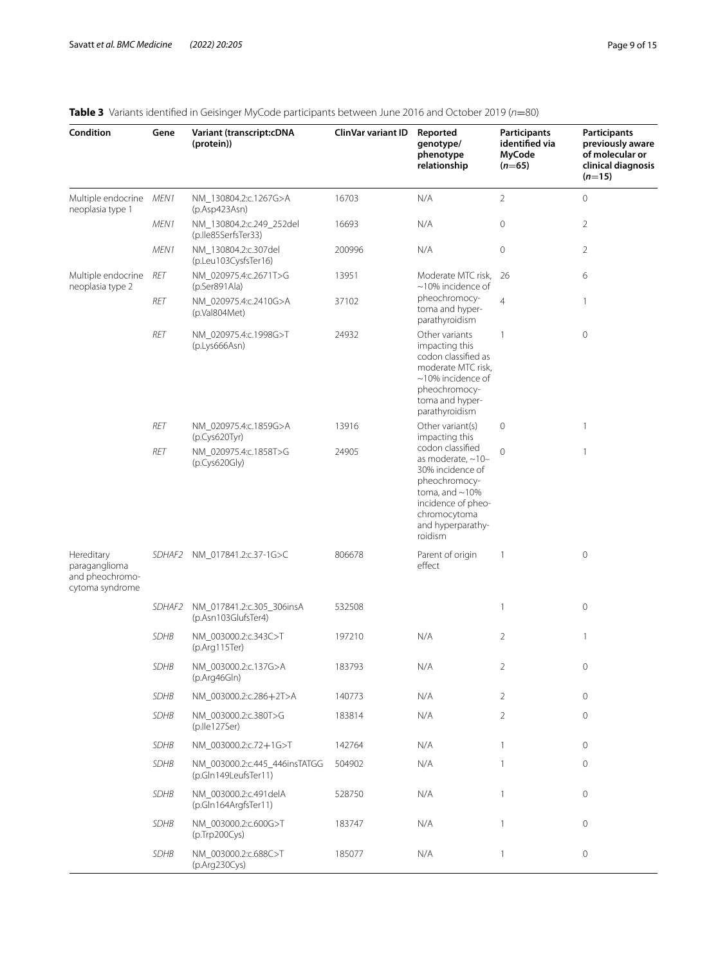| Condition                                                         | Gene        | <b>Variant (transcript:cDNA</b><br>(protein))         | ClinVar variant ID | Reported<br>genotype/<br>phenotype<br>relationship                                                                                                                             | <b>Participants</b><br>identified via<br>MyCode<br>$(n=65)$ | <b>Participants</b><br>previously aware<br>of molecular or<br>clinical diagnosis<br>$(n=15)$ |
|-------------------------------------------------------------------|-------------|-------------------------------------------------------|--------------------|--------------------------------------------------------------------------------------------------------------------------------------------------------------------------------|-------------------------------------------------------------|----------------------------------------------------------------------------------------------|
| Multiple endocrine MEN1<br>neoplasia type 1                       |             | NM_130804.2:c.1267G>A<br>(p. Asp423Asn)               | 16703              | N/A                                                                                                                                                                            | $\overline{2}$                                              | $\mathbf 0$                                                                                  |
|                                                                   | MEN1        | NM_130804.2:c.249_252del<br>(p.Ile85SerfsTer33)       | 16693              | N/A                                                                                                                                                                            | $\mathbf 0$                                                 | $\overline{2}$                                                                               |
|                                                                   | MEN1        | NM_130804.2:c.307del<br>(p.Leu103CysfsTer16)          | 200996             | N/A                                                                                                                                                                            | $\mathsf{O}\xspace$                                         | $\overline{2}$                                                                               |
| Multiple endocrine<br>neoplasia type 2                            | RET         | NM_020975.4:c.2671T>G<br>(p.Ser891Ala)                | 13951              | Moderate MTC risk,<br>$\sim$ 10% incidence of                                                                                                                                  | 26                                                          | 6                                                                                            |
|                                                                   | RET         | NM_020975.4:c.2410G>A<br>(p.Val804Met)                | 37102              | pheochromocy-<br>toma and hyper-<br>parathyroidism                                                                                                                             | $\overline{4}$                                              | 1                                                                                            |
|                                                                   | RET         | NM_020975.4:c.1998G>T<br>(p.Lys666Asn)                | 24932              | Other variants<br>impacting this<br>codon classified as<br>moderate MTC risk.<br>$\sim$ 10% incidence of<br>pheochromocy-<br>toma and hyper-<br>parathyroidism                 | $\mathbf{1}$                                                | $\circ$                                                                                      |
|                                                                   | RET         | NM_020975.4:c.1859G>A<br>(p.Cys620Tyr)                | 13916              | Other variant(s)<br>impacting this                                                                                                                                             | 0                                                           | $\mathbf{1}$                                                                                 |
|                                                                   | RET         | NM_020975.4:c.1858T>G<br>(p.Cys620Gly)                | 24905              | codon classified<br>as moderate, $\sim$ 10-<br>30% incidence of<br>pheochromocy-<br>toma, and $\sim$ 10%<br>incidence of pheo-<br>chromocytoma<br>and hyperparathy-<br>roidism | $\Omega$                                                    | $\mathbf{1}$                                                                                 |
| Hereditary<br>paraganglioma<br>and pheochromo-<br>cytoma syndrome |             | SDHAF2 NM_017841.2:c.37-1G>C                          | 806678             | Parent of origin<br>effect                                                                                                                                                     | $\mathbf{1}$                                                | $\circ$                                                                                      |
|                                                                   | SDHAF2      | NM_017841.2:c.305_306insA<br>(p.Asn103GlufsTer4)      | 532508             |                                                                                                                                                                                | $\mathbf{1}$                                                | $\mathbf 0$                                                                                  |
|                                                                   | <b>SDHB</b> | NM 003000.2:c.343C>T<br>(p.Arg115Ter)                 | 197210             | N/A                                                                                                                                                                            | $\overline{2}$                                              | $\overline{1}$                                                                               |
|                                                                   | SDHB        | NM_003000.2:c.137G>A<br>(p.Arg46Gln)                  | 183793             | N/A                                                                                                                                                                            | 2                                                           | 0                                                                                            |
|                                                                   | <b>SDHB</b> | NM_003000.2:c.286+2T>A                                | 140773             | N/A                                                                                                                                                                            | $\overline{2}$                                              | $\circ$                                                                                      |
|                                                                   | <b>SDHB</b> | NM_003000.2:c.380T>G<br>(p.lle127Ser)                 | 183814             | N/A                                                                                                                                                                            | $\overline{2}$                                              | $\circ$                                                                                      |
|                                                                   | <b>SDHB</b> | NM_003000.2:c.72+1G>T                                 | 142764             | N/A                                                                                                                                                                            | $\mathbf{1}$                                                | $\circ$                                                                                      |
|                                                                   | <b>SDHB</b> | NM 003000.2:c.445 446insTATGG<br>(p.Gln149LeufsTer11) | 504902             | N/A                                                                                                                                                                            | $\mathbf{1}$                                                | $\circ$                                                                                      |
|                                                                   | <b>SDHB</b> | NM_003000.2:c.491delA<br>(p.Gln164ArgfsTer11)         | 528750             | N/A                                                                                                                                                                            | $\mathbf{1}$                                                | $\circ$                                                                                      |
|                                                                   | <b>SDHB</b> | NM_003000.2:c.600G>T<br>(p.Trp200Cys)                 | 183747             | N/A                                                                                                                                                                            | $\mathbf{1}$                                                | $\circ$                                                                                      |
|                                                                   | SDHB        | NM_003000.2:c.688C>T                                  | 185077             | N/A                                                                                                                                                                            | $\mathbf{1}$                                                | $\circ$                                                                                      |

(p.Arg230Cys)

## <span id="page-8-0"></span>**Table 3** Variants identifed in Geisinger MyCode participants between June 2016 and October 2019 (*n*=80)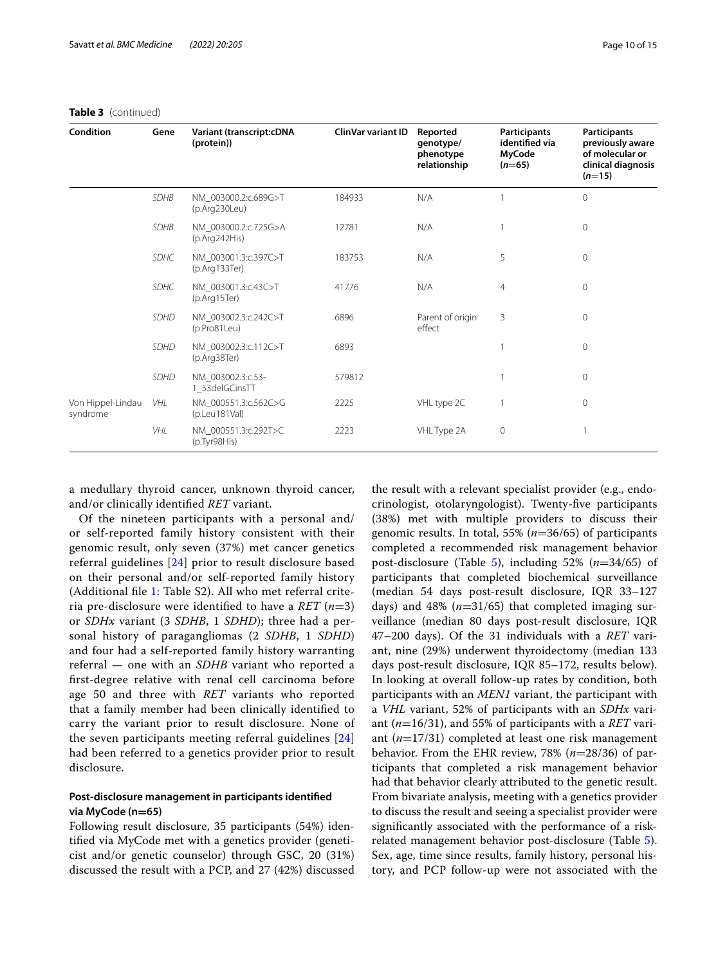| <b>Condition</b>              | Gene        | Variant (transcript:cDNA<br>(protein))          | ClinVar variant ID | Reported<br>genotype/<br>phenotype<br>relationship | Participants<br>identified via<br><b>MyCode</b><br>$(n=65)$ | <b>Participants</b><br>previously aware<br>of molecular or<br>clinical diagnosis<br>$(n=15)$ |
|-------------------------------|-------------|-------------------------------------------------|--------------------|----------------------------------------------------|-------------------------------------------------------------|----------------------------------------------------------------------------------------------|
|                               | <b>SDHB</b> | NM_003000.2:c.689G>T<br>(p.Arg230Leu)           | 184933             | N/A                                                |                                                             | $\overline{0}$                                                                               |
|                               | <b>SDHB</b> | NM_003000.2:c.725G>A<br>(p. Arg242His)          | 12781              | N/A                                                |                                                             | $\circ$                                                                                      |
|                               | <b>SDHC</b> | NM_003001.3:c.397C>T<br>(p. Arg133Ter)          | 183753             | N/A                                                | 5                                                           | $\overline{0}$                                                                               |
|                               | <b>SDHC</b> | NM_003001.3:c.43C>T<br>(p. Arg15Ter)            | 41776              | N/A                                                | $\overline{4}$                                              | $\circ$                                                                                      |
|                               | <b>SDHD</b> | NM_003002.3:c.242C>T<br>(p.Pro81Leu)            | 6896               | Parent of origin<br>effect                         | 3                                                           | $\circ$                                                                                      |
|                               | <b>SDHD</b> | NM_003002.3:c.112C>T<br>(p.Arg38Ter)            | 6893               |                                                    |                                                             | 0                                                                                            |
|                               | <b>SDHD</b> | NM 003002.3:c.53-<br>1_53delGCinsTT             | 579812             |                                                    |                                                             | 0                                                                                            |
| Von Hippel-Lindau<br>syndrome | <b>VHL</b>  | NM 000551.3:c.562C>G<br>$(p.$ Leu $181$ Val $)$ | 2225               | VHL type 2C                                        |                                                             | 0                                                                                            |
|                               | VHL         | NM_000551.3:c.292T>C<br>(p.Tyr98His)            | 2223               | VHL Type 2A                                        | 0                                                           |                                                                                              |

## **Table 3** (continued)

a medullary thyroid cancer, unknown thyroid cancer, and/or clinically identifed *RET* variant.

Of the nineteen participants with a personal and/ or self-reported family history consistent with their genomic result, only seven (37%) met cancer genetics referral guidelines [\[24\]](#page-14-7) prior to result disclosure based on their personal and/or self-reported family history (Additional fle [1:](#page-13-9) Table S2). All who met referral criteria pre-disclosure were identifed to have a *RET* (*n*=3) or *SDHx* variant (3 *SDHB*, 1 *SDHD*); three had a personal history of paragangliomas (2 *SDHB*, 1 *SDHD*) and four had a self-reported family history warranting referral — one with an *SDHB* variant who reported a frst-degree relative with renal cell carcinoma before age 50 and three with *RET* variants who reported that a family member had been clinically identifed to carry the variant prior to result disclosure. None of the seven participants meeting referral guidelines [\[24](#page-14-7)] had been referred to a genetics provider prior to result disclosure.

## **Post-disclosure management in participants identifed via MyCode (n=65)**

Following result disclosure, 35 participants (54%) identifed via MyCode met with a genetics provider (geneticist and/or genetic counselor) through GSC, 20 (31%) discussed the result with a PCP, and 27 (42%) discussed

the result with a relevant specialist provider (e.g., endocrinologist, otolaryngologist). Twenty-fve participants (38%) met with multiple providers to discuss their genomic results. In total, 55% (*n*=36/65) of participants completed a recommended risk management behavior post-disclosure (Table  $\overline{5}$ ), including 52% ( $n=34/65$ ) of participants that completed biochemical surveillance (median 54 days post-result disclosure, IQR 33–127 days) and 48% (*n*=31/65) that completed imaging surveillance (median 80 days post-result disclosure, IQR 47–200 days). Of the 31 individuals with a *RET* variant, nine (29%) underwent thyroidectomy (median 133 days post-result disclosure, IQR 85–172, results below). In looking at overall follow-up rates by condition, both participants with an *MEN1* variant, the participant with a *VHL* variant, 52% of participants with an *SDHx* variant (*n*=16/31), and 55% of participants with a *RET* variant (*n*=17/31) completed at least one risk management behavior. From the EHR review, 78% (*n*=28/36) of participants that completed a risk management behavior had that behavior clearly attributed to the genetic result. From bivariate analysis, meeting with a genetics provider to discuss the result and seeing a specialist provider were signifcantly associated with the performance of a riskrelated management behavior post-disclosure (Table [5](#page-10-1)). Sex, age, time since results, family history, personal history, and PCP follow-up were not associated with the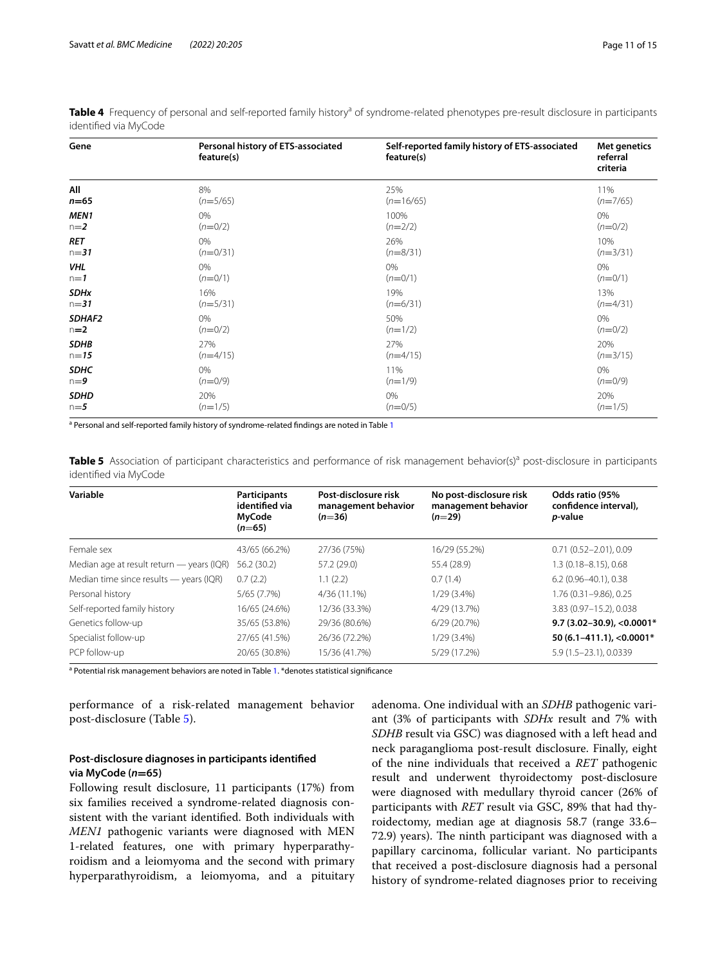| Gene             | Personal history of ETS-associated<br>feature(s) | Self-reported family history of ETS-associated<br>feature(s) | Met genetics<br>referral<br>criteria |
|------------------|--------------------------------------------------|--------------------------------------------------------------|--------------------------------------|
| All              | 8%                                               | 25%                                                          | 11%                                  |
| $n=65$           | $(n=5/65)$                                       | $(n=16/65)$                                                  | $(n=7/65)$                           |
| MEN <sub>1</sub> | 0%                                               | 100%                                                         | 0%                                   |
| $n=2$            | $(n=0/2)$                                        | $(n=2/2)$                                                    | $(n=0/2)$                            |
| <b>RET</b>       | 0%                                               | 26%                                                          | 10%                                  |
| $n = 31$         | $(n=0/31)$                                       | $(n=8/31)$                                                   | $(n=3/31)$                           |
| <b>VHL</b>       | 0%                                               | 0%                                                           | 0%                                   |
| $n=1$            | $(n=0/1)$                                        | $(n=0/1)$                                                    | $(n=0/1)$                            |
| <b>SDHx</b>      | 16%                                              | 19%                                                          | 13%                                  |
| $n = 31$         | $(n=5/31)$                                       | $(n=6/31)$                                                   | $(n=4/31)$                           |
| SDHAF2           | 0%                                               | 50%                                                          | 0%                                   |
| $n=2$            | $(n=0/2)$                                        | $(n=1/2)$                                                    | $(n=0/2)$                            |
| <b>SDHB</b>      | 27%                                              | 27%                                                          | 20%                                  |
| $n = 15$         | $(n=4/15)$                                       | $(n=4/15)$                                                   | $(n=3/15)$                           |
| <b>SDHC</b>      | 0%                                               | 11%                                                          | 0%                                   |
| $n=9$            | $(n=0/9)$                                        | $(n=1/9)$                                                    | $(n=0/9)$                            |
| <b>SDHD</b>      | 20%                                              | 0%                                                           | 20%                                  |
| $n=5$            | $(n=1/5)$                                        | $(n=0/5)$                                                    | $(n=1/5)$                            |

<span id="page-10-0"></span>Table 4 Frequency of personal and self-reported family history<sup>a</sup> of syndrome-related phenotypes pre-result disclosure in participants identifed via MyCode

<sup>a</sup> Personal and self-reported family history of syndrome-related findings are noted in Table [1](#page-5-0)

<span id="page-10-1"></span>Table 5 Association of participant characteristics and performance of risk management behavior(s)<sup>a</sup> post-disclosure in participants identifed via MyCode

| Variable                                  | <b>Participants</b><br>identified via<br>MyCode | Post-disclosure risk<br>management behavior<br>$(n=36)$ | No post-disclosure risk<br>management behavior<br>$(n=29)$ | Odds ratio (95%<br>confidence interval),<br>p-value |
|-------------------------------------------|-------------------------------------------------|---------------------------------------------------------|------------------------------------------------------------|-----------------------------------------------------|
|                                           | $(n=65)$                                        |                                                         |                                                            |                                                     |
| Female sex                                | 43/65 (66.2%)                                   | 27/36 (75%)                                             | 16/29 (55.2%)                                              | $0.71(0.52 - 2.01), 0.09$                           |
| Median age at result return - years (IQR) | 56.2(30.2)                                      | 57.2 (29.0)                                             | 55.4 (28.9)                                                | 1.3 (0.18-8.15), 0.68                               |
| Median time since results - years (IQR)   | 0.7(2.2)                                        | 1.1(2.2)                                                | 0.7(1.4)                                                   | $6.2(0.96 - 40.1), 0.38$                            |
| Personal history                          | 5/65 (7.7%)                                     | 4/36 (11.1%)                                            | $1/29(3.4\%)$                                              | 1.76 (0.31-9.86). 0.25                              |
| Self-reported family history              | 16/65 (24.6%)                                   | 12/36 (33.3%)                                           | 4/29 (13.7%)                                               | 3.83 (0.97-15.2), 0.038                             |
| Genetics follow-up                        | 35/65 (53.8%)                                   | 29/36 (80.6%)                                           | 6/29(20.7%)                                                | $9.7(3.02 - 30.9), <0.0001*$                        |
| Specialist follow-up                      | 27/65 (41.5%)                                   | 26/36 (72.2%)                                           | $1/29(3.4\%)$                                              | 50 (6.1-411.1), < $0.0001*$                         |
| PCP follow-up                             | 20/65 (30.8%)                                   | 15/36 (41.7%)                                           | 5/29 (17.2%)                                               | 5.9 (1.5 - 23.1), 0.0339                            |

<sup>a</sup> Potential risk management behaviors are noted in Table [1](#page-5-0). \*denotes statistical significance

performance of a risk-related management behavior post-disclosure (Table [5](#page-10-1)).

## **Post-disclosure diagnoses in participants identifed via MyCode (***n***=65)**

Following result disclosure, 11 participants (17%) from six families received a syndrome-related diagnosis consistent with the variant identifed. Both individuals with *MEN1* pathogenic variants were diagnosed with MEN 1-related features, one with primary hyperparathyroidism and a leiomyoma and the second with primary hyperparathyroidism, a leiomyoma, and a pituitary adenoma. One individual with an *SDHB* pathogenic variant (3% of participants with *SDHx* result and 7% with *SDHB* result via GSC) was diagnosed with a left head and neck paraganglioma post-result disclosure. Finally, eight of the nine individuals that received a *RET* pathogenic result and underwent thyroidectomy post-disclosure were diagnosed with medullary thyroid cancer (26% of participants with *RET* result via GSC, 89% that had thyroidectomy, median age at diagnosis 58.7 (range 33.6– 72.9) years). The ninth participant was diagnosed with a papillary carcinoma, follicular variant. No participants that received a post-disclosure diagnosis had a personal history of syndrome-related diagnoses prior to receiving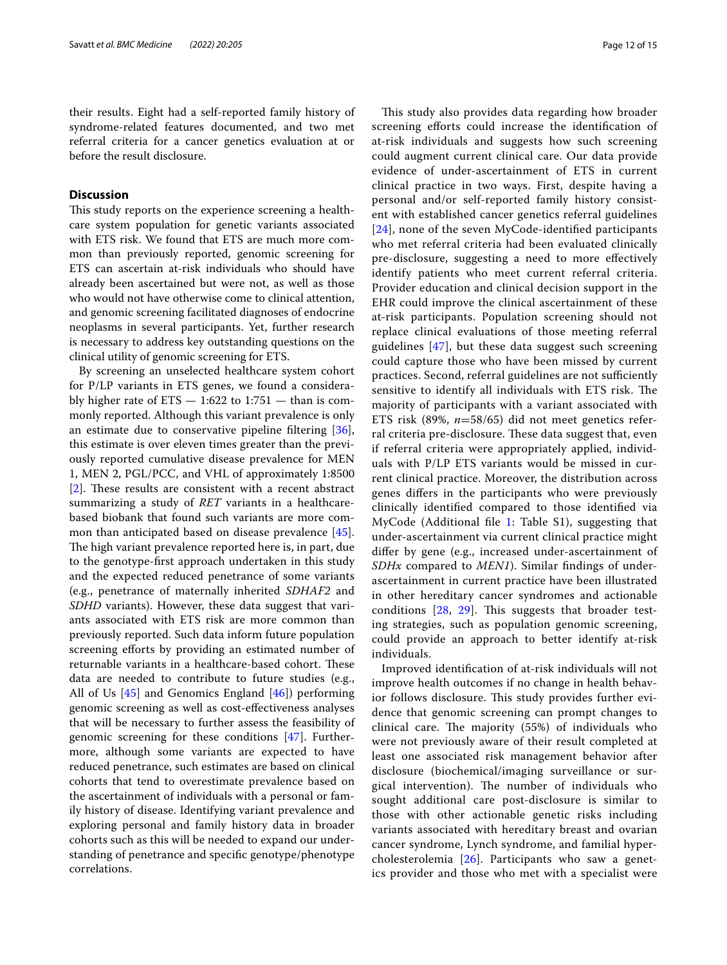their results. Eight had a self-reported family history of syndrome-related features documented, and two met referral criteria for a cancer genetics evaluation at or before the result disclosure.

## **Discussion**

This study reports on the experience screening a healthcare system population for genetic variants associated with ETS risk. We found that ETS are much more common than previously reported, genomic screening for ETS can ascertain at-risk individuals who should have already been ascertained but were not, as well as those who would not have otherwise come to clinical attention, and genomic screening facilitated diagnoses of endocrine neoplasms in several participants. Yet, further research is necessary to address key outstanding questions on the clinical utility of genomic screening for ETS.

By screening an unselected healthcare system cohort for P/LP variants in ETS genes, we found a considerably higher rate of  $ETS - 1:622$  to  $1:751 -$  than is commonly reported. Although this variant prevalence is only an estimate due to conservative pipeline fltering [\[36](#page-14-16)], this estimate is over eleven times greater than the previously reported cumulative disease prevalence for MEN 1, MEN 2, PGL/PCC, and VHL of approximately 1:8500  $[2]$  $[2]$ . These results are consistent with a recent abstract summarizing a study of *RET* variants in a healthcarebased biobank that found such variants are more common than anticipated based on disease prevalence [\[45](#page-14-27)]. The high variant prevalence reported here is, in part, due to the genotype-frst approach undertaken in this study and the expected reduced penetrance of some variants (e.g., penetrance of maternally inherited *SDHAF2* and *SDHD* variants). However, these data suggest that variants associated with ETS risk are more common than previously reported. Such data inform future population screening efforts by providing an estimated number of returnable variants in a healthcare-based cohort. These data are needed to contribute to future studies (e.g., All of Us [[45\]](#page-14-27) and Genomics England [[46\]](#page-14-28)) performing genomic screening as well as cost-efectiveness analyses that will be necessary to further assess the feasibility of genomic screening for these conditions [[47\]](#page-14-29). Furthermore, although some variants are expected to have reduced penetrance, such estimates are based on clinical cohorts that tend to overestimate prevalence based on the ascertainment of individuals with a personal or family history of disease. Identifying variant prevalence and exploring personal and family history data in broader cohorts such as this will be needed to expand our understanding of penetrance and specifc genotype/phenotype correlations.

This study also provides data regarding how broader screening efforts could increase the identification of at-risk individuals and suggests how such screening could augment current clinical care. Our data provide evidence of under-ascertainment of ETS in current clinical practice in two ways. First, despite having a personal and/or self-reported family history consistent with established cancer genetics referral guidelines [[24](#page-14-7)], none of the seven MyCode-identifed participants who met referral criteria had been evaluated clinically pre-disclosure, suggesting a need to more efectively identify patients who meet current referral criteria. Provider education and clinical decision support in the EHR could improve the clinical ascertainment of these at-risk participants. Population screening should not replace clinical evaluations of those meeting referral guidelines [[47\]](#page-14-29), but these data suggest such screening could capture those who have been missed by current practices. Second, referral guidelines are not sufficiently sensitive to identify all individuals with ETS risk. The majority of participants with a variant associated with ETS risk (89%, *n*=58/65) did not meet genetics referral criteria pre-disclosure. These data suggest that, even if referral criteria were appropriately applied, individuals with P/LP ETS variants would be missed in current clinical practice. Moreover, the distribution across genes difers in the participants who were previously clinically identifed compared to those identifed via MyCode (Additional fle [1:](#page-13-9) Table S1), suggesting that under-ascertainment via current clinical practice might difer by gene (e.g., increased under-ascertainment of *SDHx* compared to *MEN1*). Similar fndings of underascertainment in current practice have been illustrated in other hereditary cancer syndromes and actionable conditions  $[28, 29]$  $[28, 29]$  $[28, 29]$  $[28, 29]$ . This suggests that broader testing strategies, such as population genomic screening, could provide an approach to better identify at-risk individuals.

Improved identifcation of at-risk individuals will not improve health outcomes if no change in health behavior follows disclosure. This study provides further evidence that genomic screening can prompt changes to clinical care. The majority (55%) of individuals who were not previously aware of their result completed at least one associated risk management behavior after disclosure (biochemical/imaging surveillance or surgical intervention). The number of individuals who sought additional care post-disclosure is similar to those with other actionable genetic risks including variants associated with hereditary breast and ovarian cancer syndrome, Lynch syndrome, and familial hypercholesterolemia [\[26](#page-14-10)]. Participants who saw a genetics provider and those who met with a specialist were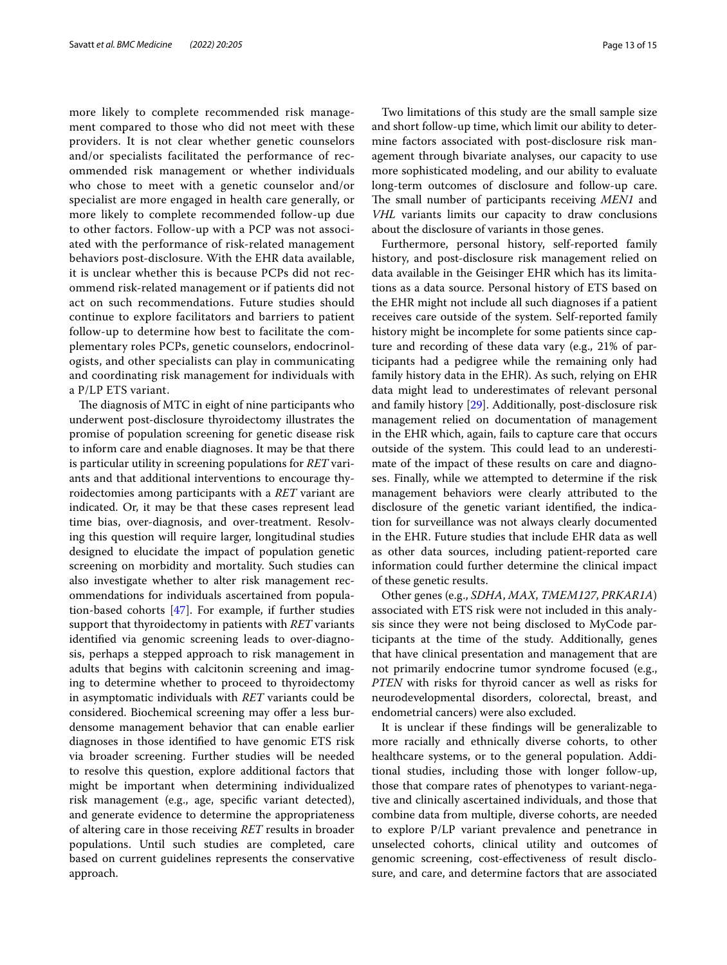more likely to complete recommended risk management compared to those who did not meet with these providers. It is not clear whether genetic counselors and/or specialists facilitated the performance of recommended risk management or whether individuals who chose to meet with a genetic counselor and/or specialist are more engaged in health care generally, or more likely to complete recommended follow-up due to other factors. Follow-up with a PCP was not associated with the performance of risk-related management behaviors post-disclosure. With the EHR data available, it is unclear whether this is because PCPs did not recommend risk-related management or if patients did not act on such recommendations. Future studies should continue to explore facilitators and barriers to patient follow-up to determine how best to facilitate the complementary roles PCPs, genetic counselors, endocrinologists, and other specialists can play in communicating and coordinating risk management for individuals with a P/LP ETS variant.

The diagnosis of MTC in eight of nine participants who underwent post-disclosure thyroidectomy illustrates the promise of population screening for genetic disease risk to inform care and enable diagnoses. It may be that there is particular utility in screening populations for *RET* variants and that additional interventions to encourage thyroidectomies among participants with a *RET* variant are indicated. Or, it may be that these cases represent lead time bias, over-diagnosis, and over-treatment. Resolving this question will require larger, longitudinal studies designed to elucidate the impact of population genetic screening on morbidity and mortality. Such studies can also investigate whether to alter risk management recommendations for individuals ascertained from population-based cohorts [\[47](#page-14-29)]. For example, if further studies support that thyroidectomy in patients with *RET* variants identifed via genomic screening leads to over-diagnosis, perhaps a stepped approach to risk management in adults that begins with calcitonin screening and imaging to determine whether to proceed to thyroidectomy in asymptomatic individuals with *RET* variants could be considered. Biochemical screening may offer a less burdensome management behavior that can enable earlier diagnoses in those identifed to have genomic ETS risk via broader screening. Further studies will be needed to resolve this question, explore additional factors that might be important when determining individualized risk management (e.g., age, specifc variant detected), and generate evidence to determine the appropriateness of altering care in those receiving *RET* results in broader populations. Until such studies are completed, care based on current guidelines represents the conservative approach.

Two limitations of this study are the small sample size and short follow-up time, which limit our ability to determine factors associated with post-disclosure risk management through bivariate analyses, our capacity to use more sophisticated modeling, and our ability to evaluate long-term outcomes of disclosure and follow-up care. The small number of participants receiving *MEN1* and *VHL* variants limits our capacity to draw conclusions about the disclosure of variants in those genes.

Furthermore, personal history, self-reported family history, and post-disclosure risk management relied on data available in the Geisinger EHR which has its limitations as a data source. Personal history of ETS based on the EHR might not include all such diagnoses if a patient receives care outside of the system. Self-reported family history might be incomplete for some patients since capture and recording of these data vary (e.g., 21% of participants had a pedigree while the remaining only had family history data in the EHR). As such, relying on EHR data might lead to underestimates of relevant personal and family history [\[29](#page-14-31)]. Additionally, post-disclosure risk management relied on documentation of management in the EHR which, again, fails to capture care that occurs outside of the system. This could lead to an underestimate of the impact of these results on care and diagnoses. Finally, while we attempted to determine if the risk management behaviors were clearly attributed to the disclosure of the genetic variant identifed, the indication for surveillance was not always clearly documented in the EHR. Future studies that include EHR data as well as other data sources, including patient-reported care information could further determine the clinical impact of these genetic results.

Other genes (e.g., *SDHA*, *MAX*, *TMEM127*, *PRKAR1A*) associated with ETS risk were not included in this analysis since they were not being disclosed to MyCode participants at the time of the study. Additionally, genes that have clinical presentation and management that are not primarily endocrine tumor syndrome focused (e.g., *PTEN* with risks for thyroid cancer as well as risks for neurodevelopmental disorders, colorectal, breast, and endometrial cancers) were also excluded.

It is unclear if these fndings will be generalizable to more racially and ethnically diverse cohorts, to other healthcare systems, or to the general population. Additional studies, including those with longer follow-up, those that compare rates of phenotypes to variant-negative and clinically ascertained individuals, and those that combine data from multiple, diverse cohorts, are needed to explore P/LP variant prevalence and penetrance in unselected cohorts, clinical utility and outcomes of genomic screening, cost-efectiveness of result disclosure, and care, and determine factors that are associated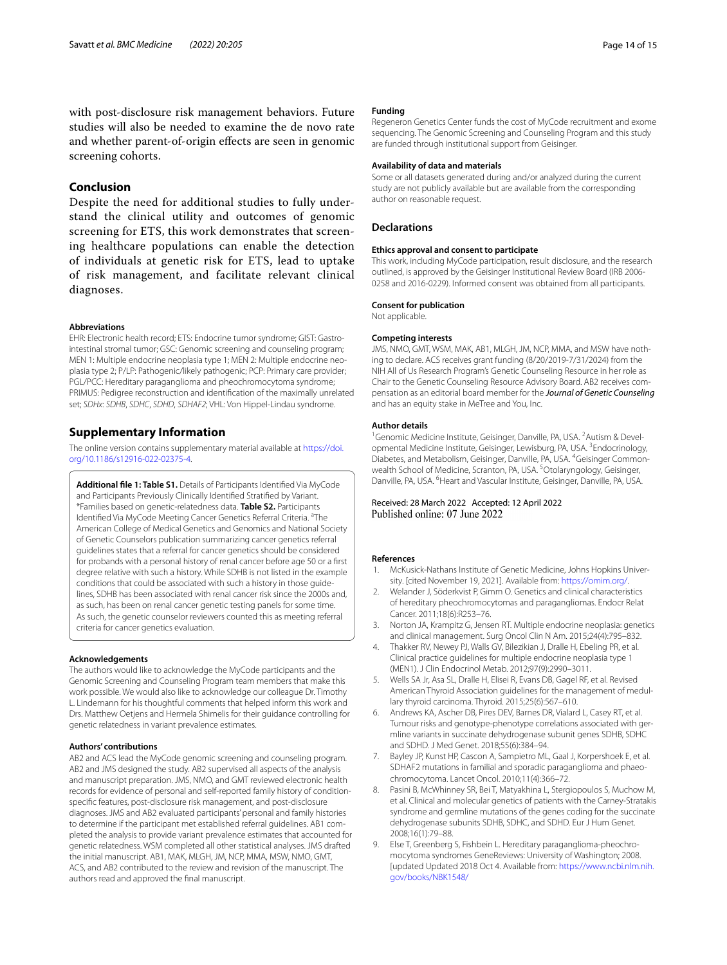## **Conclusion**

Despite the need for additional studies to fully understand the clinical utility and outcomes of genomic screening for ETS, this work demonstrates that screening healthcare populations can enable the detection of individuals at genetic risk for ETS, lead to uptake of risk management, and facilitate relevant clinical diagnoses.

#### **Abbreviations**

EHR: Electronic health record; ETS: Endocrine tumor syndrome; GIST: Gastrointestinal stromal tumor; GSC: Genomic screening and counseling program; MEN 1: Multiple endocrine neoplasia type 1; MEN 2: Multiple endocrine neoplasia type 2; P/LP: Pathogenic/likely pathogenic; PCP: Primary care provider; PGL/PCC: Hereditary paraganglioma and pheochromocytoma syndrome; PRIMUS: Pedigree reconstruction and identifcation of the maximally unrelated set; *SDHx*: *SDHB*, *SDHC*, *SDHD*, *SDHAF2*; VHL: Von Hippel-Lindau syndrome.

## **Supplementary Information**

The online version contains supplementary material available at [https://doi.](https://doi.org/10.1186/s12916-022-02375-4) [org/10.1186/s12916-022-02375-4](https://doi.org/10.1186/s12916-022-02375-4).

<span id="page-13-9"></span>**Additional fle 1: Table S1.** Details of Participants Identifed Via MyCode and Participants Previously Clinically Identifed Stratifed by Variant. \*Families based on genetic-relatedness data. **Table S2.** Participants Identified Via MyCode Meeting Cancer Genetics Referral Criteria. <sup>a</sup>The American College of Medical Genetics and Genomics and National Society of Genetic Counselors publication summarizing cancer genetics referral guidelines states that a referral for cancer genetics should be considered for probands with a personal history of renal cancer before age 50 or a frst degree relative with such a history. While SDHB is not listed in the example conditions that could be associated with such a history in those guidelines, SDHB has been associated with renal cancer risk since the 2000s and, as such, has been on renal cancer genetic testing panels for some time. As such, the genetic counselor reviewers counted this as meeting referral criteria for cancer genetics evaluation.

#### **Acknowledgements**

The authors would like to acknowledge the MyCode participants and the Genomic Screening and Counseling Program team members that make this work possible. We would also like to acknowledge our colleague Dr. Timothy L. Lindemann for his thoughtful comments that helped inform this work and Drs. Matthew Oetjens and Hermela Shimelis for their guidance controlling for genetic relatedness in variant prevalence estimates.

#### **Authors' contributions**

AB2 and ACS lead the MyCode genomic screening and counseling program. AB2 and JMS designed the study. AB2 supervised all aspects of the analysis and manuscript preparation. JMS, NMO, and GMT reviewed electronic health records for evidence of personal and self-reported family history of conditionspecifc features, post-disclosure risk management, and post-disclosure diagnoses. JMS and AB2 evaluated participants' personal and family histories to determine if the participant met established referral guidelines. AB1 completed the analysis to provide variant prevalence estimates that accounted for genetic relatedness. WSM completed all other statistical analyses. JMS drafted the initial manuscript. AB1, MAK, MLGH, JM, NCP, MMA, MSW, NMO, GMT, ACS, and AB2 contributed to the review and revision of the manuscript. The authors read and approved the fnal manuscript.

#### **Funding**

Regeneron Genetics Center funds the cost of MyCode recruitment and exome sequencing. The Genomic Screening and Counseling Program and this study are funded through institutional support from Geisinger.

#### **Availability of data and materials**

Some or all datasets generated during and/or analyzed during the current study are not publicly available but are available from the corresponding author on reasonable request.

#### **Declarations**

#### **Ethics approval and consent to participate**

This work, including MyCode participation, result disclosure, and the research outlined, is approved by the Geisinger Institutional Review Board (IRB 2006- 0258 and 2016-0229). Informed consent was obtained from all participants.

## **Consent for publication**

Not applicable.

#### **Competing interests**

JMS, NMO, GMT, WSM, MAK, AB1, MLGH, JM, NCP, MMA, and MSW have nothing to declare. ACS receives grant funding (8/20/2019-7/31/2024) from the NIH All of Us Research Program's Genetic Counseling Resource in her role as Chair to the Genetic Counseling Resource Advisory Board. AB2 receives compensation as an editorial board member for the *Journal of Genetic Counseling* and has an equity stake in MeTree and You, Inc.

#### **Author details**

<sup>1</sup> Genomic Medicine Institute, Geisinger, Danville, PA, USA. <sup>2</sup> Autism & Developmental Medicine Institute, Geisinger, Lewisburg, PA, USA.<sup>3</sup> Endocrinology, Diabetes, and Metabolism, Geisinger, Danville, PA, USA. 4 Geisinger Commonwealth School of Medicine, Scranton, PA, USA.<sup>5</sup>Otolaryngology, Geisinger, Danville, PA, USA. <sup>6</sup> Heart and Vascular Institute, Geisinger, Danville, PA, USA.

#### Received: 28 March 2022 Accepted: 12 April 2022 Published online: 07 June 2022

#### **References**

- <span id="page-13-0"></span>1. McKusick-Nathans Institute of Genetic Medicine, Johns Hopkins University. [cited November 19, 2021]. Available from:<https://omim.org/>.
- <span id="page-13-1"></span>2. Welander J, Söderkvist P, Gimm O. Genetics and clinical characteristics of hereditary pheochromocytomas and paragangliomas. Endocr Relat Cancer. 2011;18(6):R253–76.
- <span id="page-13-2"></span>3. Norton JA, Krampitz G, Jensen RT. Multiple endocrine neoplasia: genetics and clinical management. Surg Oncol Clin N Am. 2015;24(4):795–832.
- <span id="page-13-3"></span>4. Thakker RV, Newey PJ, Walls GV, Bilezikian J, Dralle H, Ebeling PR, et al. Clinical practice guidelines for multiple endocrine neoplasia type 1 (MEN1). J Clin Endocrinol Metab. 2012;97(9):2990–3011.
- <span id="page-13-4"></span>5. Wells SA Jr, Asa SL, Dralle H, Elisei R, Evans DB, Gagel RF, et al. Revised American Thyroid Association guidelines for the management of medullary thyroid carcinoma. Thyroid. 2015;25(6):567–610.
- <span id="page-13-5"></span>6. Andrews KA, Ascher DB, Pires DEV, Barnes DR, Vialard L, Casey RT, et al. Tumour risks and genotype-phenotype correlations associated with germline variants in succinate dehydrogenase subunit genes SDHB, SDHC and SDHD. J Med Genet. 2018;55(6):384–94.
- <span id="page-13-8"></span>7. Bayley JP, Kunst HP, Cascon A, Sampietro ML, Gaal J, Korpershoek E, et al. SDHAF2 mutations in familial and sporadic paraganglioma and phaeochromocytoma. Lancet Oncol. 2010;11(4):366–72.
- <span id="page-13-6"></span>8. Pasini B, McWhinney SR, Bei T, Matyakhina L, Stergiopoulos S, Muchow M, et al. Clinical and molecular genetics of patients with the Carney-Stratakis syndrome and germline mutations of the genes coding for the succinate dehydrogenase subunits SDHB, SDHC, and SDHD. Eur J Hum Genet. 2008;16(1):79–88.
- <span id="page-13-7"></span>9. Else T, Greenberg S, Fishbein L. Hereditary paraganglioma-pheochromocytoma syndromes GeneReviews: University of Washington; 2008. [updated Updated 2018 Oct 4. Available from: [https://www.ncbi.nlm.nih.](https://www.ncbi.nlm.nih.gov/books/NBK1548/) [gov/books/NBK1548/](https://www.ncbi.nlm.nih.gov/books/NBK1548/)